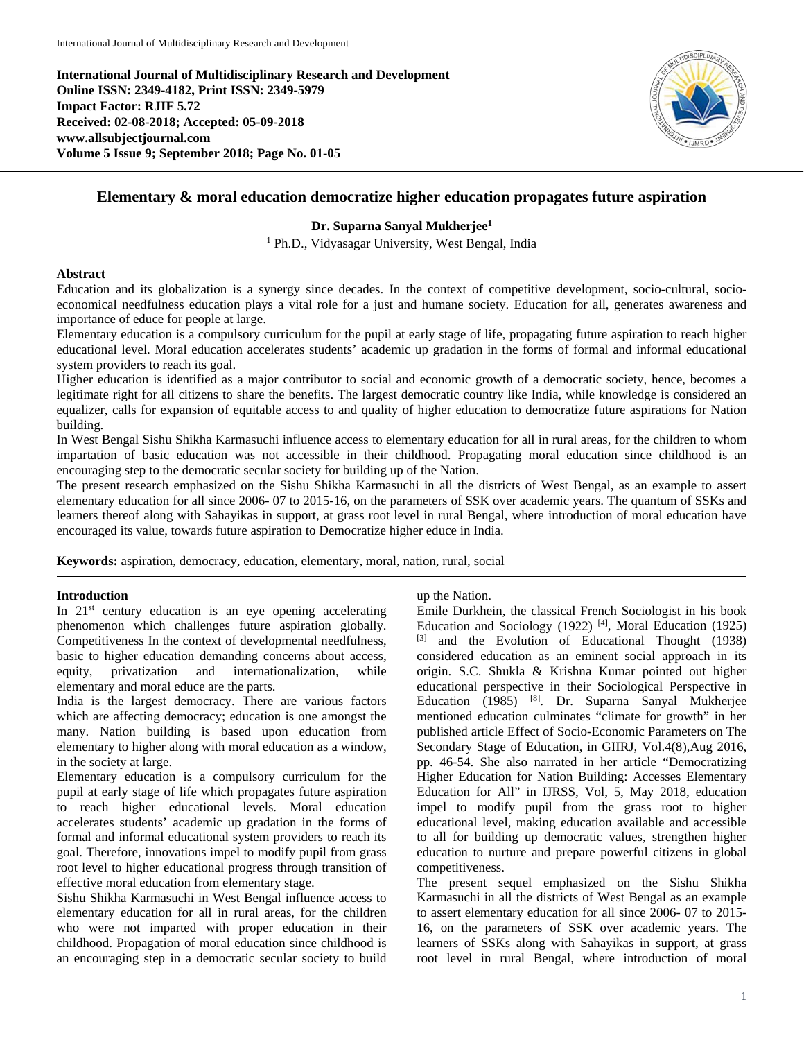**International Journal of Multidisciplinary Research and Development Online ISSN: 2349-4182, Print ISSN: 2349-5979 Impact Factor: RJIF 5.72 Received: 02-08-2018; Accepted: 05-09-2018 www.allsubjectjournal.com Volume 5 Issue 9; September 2018; Page No. 01-05**



# **Elementary & moral education democratize higher education propagates future aspiration**

**Dr. Suparna Sanyal Mukherjee1**

<sup>1</sup> Ph.D., Vidyasagar University, West Bengal, India

### **Abstract**

Education and its globalization is a synergy since decades. In the context of competitive development, socio-cultural, socioeconomical needfulness education plays a vital role for a just and humane society. Education for all, generates awareness and importance of educe for people at large.

Elementary education is a compulsory curriculum for the pupil at early stage of life, propagating future aspiration to reach higher educational level. Moral education accelerates students' academic up gradation in the forms of formal and informal educational system providers to reach its goal.

Higher education is identified as a major contributor to social and economic growth of a democratic society, hence, becomes a legitimate right for all citizens to share the benefits. The largest democratic country like India, while knowledge is considered an equalizer, calls for expansion of equitable access to and quality of higher education to democratize future aspirations for Nation building.

In West Bengal Sishu Shikha Karmasuchi influence access to elementary education for all in rural areas, for the children to whom impartation of basic education was not accessible in their childhood. Propagating moral education since childhood is an encouraging step to the democratic secular society for building up of the Nation.

The present research emphasized on the Sishu Shikha Karmasuchi in all the districts of West Bengal, as an example to assert elementary education for all since 2006- 07 to 2015-16, on the parameters of SSK over academic years. The quantum of SSKs and learners thereof along with Sahayikas in support, at grass root level in rural Bengal, where introduction of moral education have encouraged its value, towards future aspiration to Democratize higher educe in India.

**Keywords:** aspiration, democracy, education, elementary, moral, nation, rural, social

#### **Introduction**

In 21<sup>st</sup> century education is an eye opening accelerating phenomenon which challenges future aspiration globally. Competitiveness In the context of developmental needfulness, basic to higher education demanding concerns about access, equity, privatization and internationalization, while elementary and moral educe are the parts.

India is the largest democracy. There are various factors which are affecting democracy; education is one amongst the many. Nation building is based upon education from elementary to higher along with moral education as a window, in the society at large.

Elementary education is a compulsory curriculum for the pupil at early stage of life which propagates future aspiration to reach higher educational levels. Moral education accelerates students' academic up gradation in the forms of formal and informal educational system providers to reach its goal. Therefore, innovations impel to modify pupil from grass root level to higher educational progress through transition of effective moral education from elementary stage.

Sishu Shikha Karmasuchi in West Bengal influence access to elementary education for all in rural areas, for the children who were not imparted with proper education in their childhood. Propagation of moral education since childhood is an encouraging step in a democratic secular society to build up the Nation.

Emile Durkhein, the classical French Sociologist in his book Education and Sociology (1922)<sup>[4]</sup>, Moral Education (1925) [3] and the Evolution of Educational Thought (1938) considered education as an eminent social approach in its origin. S.C. Shukla & Krishna Kumar pointed out higher educational perspective in their Sociological Perspective in Education (1985) [8]. Dr. Suparna Sanyal Mukherjee mentioned education culminates "climate for growth" in her published article Effect of Socio-Economic Parameters on The Secondary Stage of Education, in GIIRJ, Vol.4(8),Aug 2016, pp. 46-54. She also narrated in her article "Democratizing Higher Education for Nation Building: Accesses Elementary Education for All" in IJRSS, Vol, 5, May 2018, education impel to modify pupil from the grass root to higher educational level, making education available and accessible to all for building up democratic values, strengthen higher education to nurture and prepare powerful citizens in global competitiveness.

The present sequel emphasized on the Sishu Shikha Karmasuchi in all the districts of West Bengal as an example to assert elementary education for all since 2006- 07 to 2015- 16, on the parameters of SSK over academic years. The learners of SSKs along with Sahayikas in support, at grass root level in rural Bengal, where introduction of moral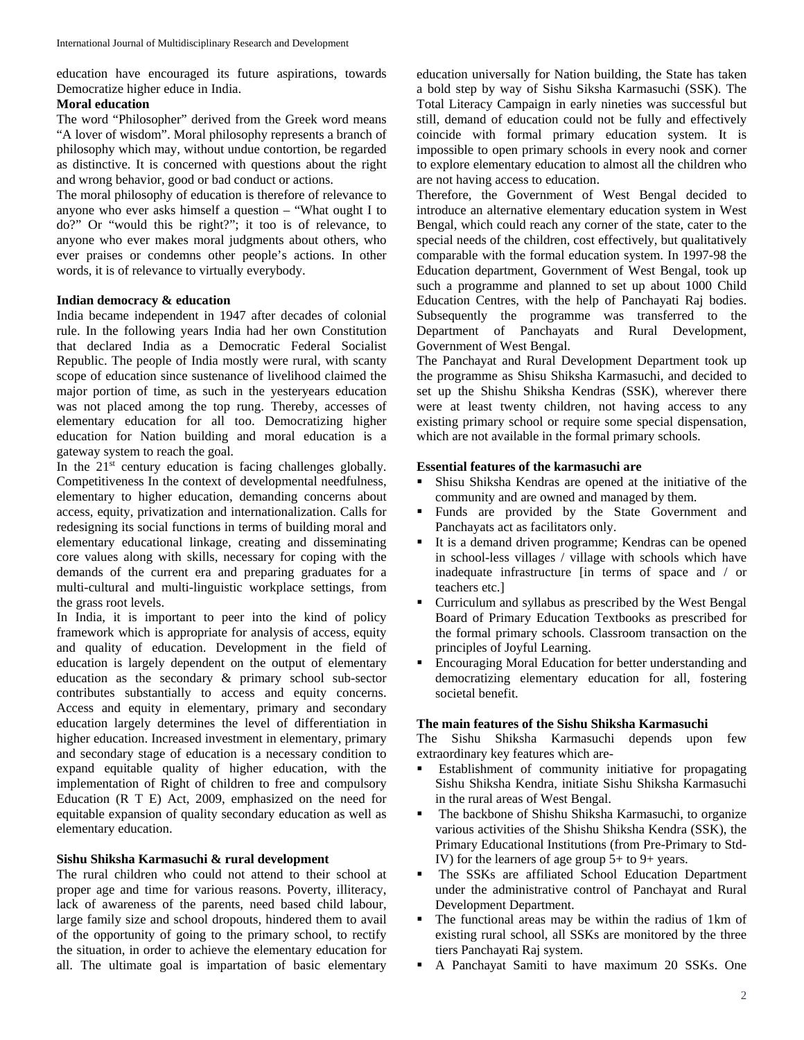education have encouraged its future aspirations, towards Democratize higher educe in India.

### **Moral education**

The word "Philosopher" derived from the Greek word means "A lover of wisdom". Moral philosophy represents a branch of philosophy which may, without undue contortion, be regarded as distinctive. It is concerned with questions about the right and wrong behavior, good or bad conduct or actions.

The moral philosophy of education is therefore of relevance to anyone who ever asks himself a question – "What ought I to do?" Or "would this be right?"; it too is of relevance, to anyone who ever makes moral judgments about others, who ever praises or condemns other people's actions. In other words, it is of relevance to virtually everybody.

# **Indian democracy & education**

India became independent in 1947 after decades of colonial rule. In the following years India had her own Constitution that declared India as a Democratic Federal Socialist Republic. The people of India mostly were rural, with scanty scope of education since sustenance of livelihood claimed the major portion of time, as such in the yesteryears education was not placed among the top rung. Thereby, accesses of elementary education for all too. Democratizing higher education for Nation building and moral education is a gateway system to reach the goal.

In the  $21<sup>st</sup>$  century education is facing challenges globally. Competitiveness In the context of developmental needfulness, elementary to higher education, demanding concerns about access, equity, privatization and internationalization. Calls for redesigning its social functions in terms of building moral and elementary educational linkage, creating and disseminating core values along with skills, necessary for coping with the demands of the current era and preparing graduates for a multi-cultural and multi-linguistic workplace settings, from the grass root levels.

In India, it is important to peer into the kind of policy framework which is appropriate for analysis of access, equity and quality of education. Development in the field of education is largely dependent on the output of elementary education as the secondary & primary school sub-sector contributes substantially to access and equity concerns. Access and equity in elementary, primary and secondary education largely determines the level of differentiation in higher education. Increased investment in elementary, primary and secondary stage of education is a necessary condition to expand equitable quality of higher education, with the implementation of Right of children to free and compulsory Education (R T E) Act, 2009, emphasized on the need for equitable expansion of quality secondary education as well as elementary education.

# **Sishu Shiksha Karmasuchi & rural development**

The rural children who could not attend to their school at proper age and time for various reasons. Poverty, illiteracy, lack of awareness of the parents, need based child labour, large family size and school dropouts, hindered them to avail of the opportunity of going to the primary school, to rectify the situation, in order to achieve the elementary education for all. The ultimate goal is impartation of basic elementary education universally for Nation building, the State has taken a bold step by way of Sishu Siksha Karmasuchi (SSK). The Total Literacy Campaign in early nineties was successful but still, demand of education could not be fully and effectively coincide with formal primary education system. It is impossible to open primary schools in every nook and corner to explore elementary education to almost all the children who are not having access to education.

Therefore, the Government of West Bengal decided to introduce an alternative elementary education system in West Bengal, which could reach any corner of the state, cater to the special needs of the children, cost effectively, but qualitatively comparable with the formal education system. In 1997-98 the Education department, Government of West Bengal, took up such a programme and planned to set up about 1000 Child Education Centres, with the help of Panchayati Raj bodies. Subsequently the programme was transferred to the Department of Panchayats and Rural Development, Government of West Bengal.

The Panchayat and Rural Development Department took up the programme as Shisu Shiksha Karmasuchi, and decided to set up the Shishu Shiksha Kendras (SSK), wherever there were at least twenty children, not having access to any existing primary school or require some special dispensation, which are not available in the formal primary schools.

### **Essential features of the karmasuchi are**

- Shisu Shiksha Kendras are opened at the initiative of the community and are owned and managed by them.
- Funds are provided by the State Government and Panchayats act as facilitators only.
- It is a demand driven programme; Kendras can be opened in school-less villages / village with schools which have inadequate infrastructure [in terms of space and / or teachers etc.]
- Curriculum and syllabus as prescribed by the West Bengal Board of Primary Education Textbooks as prescribed for the formal primary schools. Classroom transaction on the principles of Joyful Learning.
- Encouraging Moral Education for better understanding and democratizing elementary education for all, fostering societal benefit.

# **The main features of the Sishu Shiksha Karmasuchi**

The Sishu Shiksha Karmasuchi depends upon few extraordinary key features which are-

- Establishment of community initiative for propagating Sishu Shiksha Kendra, initiate Sishu Shiksha Karmasuchi in the rural areas of West Bengal.
- The backbone of Shishu Shiksha Karmasuchi, to organize various activities of the Shishu Shiksha Kendra (SSK), the Primary Educational Institutions (from Pre-Primary to Std-IV) for the learners of age group 5+ to 9+ years.
- The SSKs are affiliated School Education Department under the administrative control of Panchayat and Rural Development Department.
- The functional areas may be within the radius of 1km of existing rural school, all SSKs are monitored by the three tiers Panchayati Raj system.
- A Panchayat Samiti to have maximum 20 SSKs. One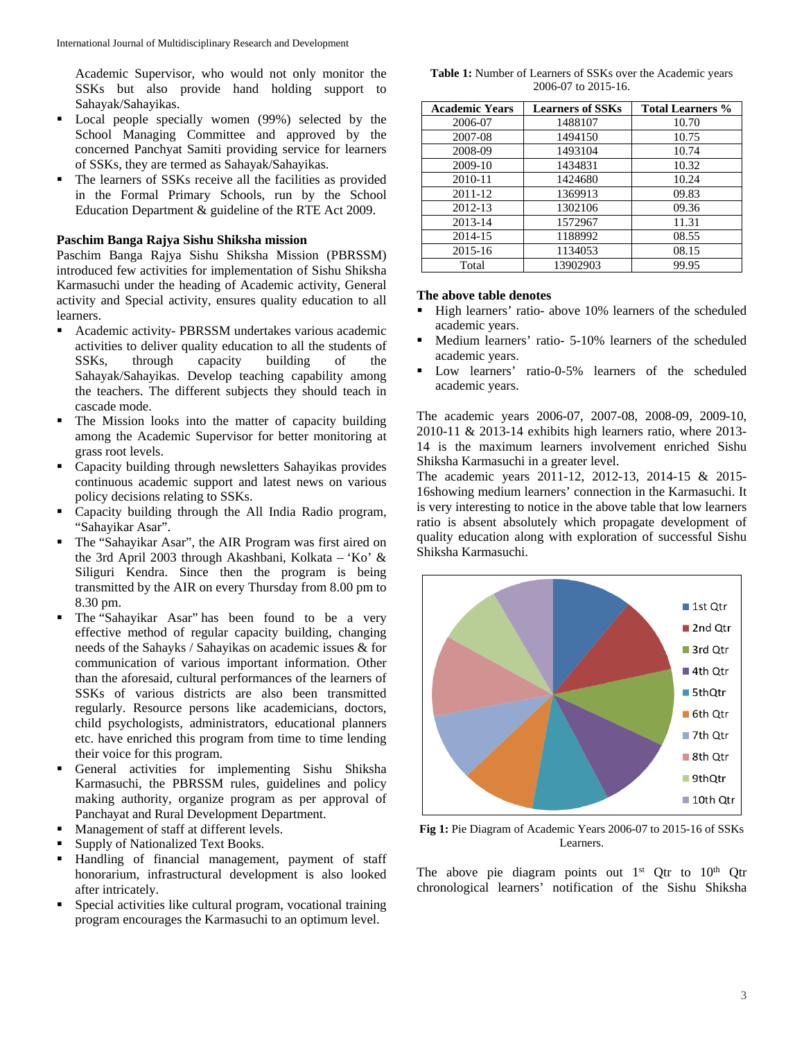Academic Supervisor, who would not only monitor the SSKs but also provide hand holding support to Sahayak/Sahayikas.

- Local people specially women (99%) selected by the School Managing Committee and approved by the concerned Panchyat Samiti providing service for learners of SSKs, they are termed as Sahayak/Sahayikas.
- The learners of SSKs receive all the facilities as provided in the Formal Primary Schools, run by the School Education Department & guideline of the RTE Act 2009.

### **Paschim Banga Rajya Sishu Shiksha mission**

Paschim Banga Rajya Sishu Shiksha Mission (PBRSSM) introduced few activities for implementation of Sishu Shiksha Karmasuchi under the heading of Academic activity, General activity and Special activity, ensures quality education to all learners.

- Academic activity- PBRSSM undertakes various academic activities to deliver quality education to all the students of SSKs, through capacity building of the Sahayak/Sahayikas. Develop teaching capability among the teachers. The different subjects they should teach in cascade mode.
- The Mission looks into the matter of capacity building among the Academic Supervisor for better monitoring at grass root levels.
- Capacity building through newsletters Sahayikas provides continuous academic support and latest news on various policy decisions relating to SSKs.
- Capacity building through the All India Radio program, "Sahayikar Asar".
- The "Sahayikar Asar", the AIR Program was first aired on the 3rd April 2003 through Akashbani, Kolkata – 'Ko' & Siliguri Kendra. Since then the program is being transmitted by the AIR on every Thursday from 8.00 pm to 8.30 pm.
- The "Sahayikar Asar" has been found to be a very effective method of regular capacity building, changing needs of the Sahayks / Sahayikas on academic issues & for communication of various important information. Other than the aforesaid, cultural performances of the learners of SSKs of various districts are also been transmitted regularly. Resource persons like academicians, doctors, child psychologists, administrators, educational planners etc. have enriched this program from time to time lending their voice for this program.
- General activities for implementing Sishu Shiksha Karmasuchi, the PBRSSM rules, guidelines and policy making authority, organize program as per approval of Panchayat and Rural Development Department.
- **Management of staff at different levels.**
- Supply of Nationalized Text Books.
- Handling of financial management, payment of staff honorarium, infrastructural development is also looked after intricately.
- Special activities like cultural program, vocational training program encourages the Karmasuchi to an optimum level.

| Table 1: Number of Learners of SSKs over the Academic years |
|-------------------------------------------------------------|
| 2006-07 to 2015-16.                                         |

| <b>Academic Years</b> | <b>Learners of SSKs</b> | <b>Total Learners %</b> |
|-----------------------|-------------------------|-------------------------|
| 2006-07               | 1488107                 | 10.70                   |
| 2007-08               | 1494150                 | 10.75                   |
| 2008-09               | 1493104                 | 10.74                   |
| 2009-10               | 1434831                 | 10.32                   |
| 2010-11               | 1424680                 | 10.24                   |
| 2011-12               | 1369913                 | 09.83                   |
| 2012-13               | 1302106                 | 09.36                   |
| 2013-14               | 1572967                 | 11.31                   |
| 2014-15               | 1188992                 | 08.55                   |
| 2015-16               | 1134053                 | 08.15                   |
| Total                 | 13902903                | 99.95                   |

### **The above table denotes**

- High learners' ratio- above 10% learners of the scheduled academic years.
- Medium learners' ratio- 5-10% learners of the scheduled academic years.
- Low learners' ratio-0-5% learners of the scheduled academic years.

The academic years 2006-07, 2007-08, 2008-09, 2009-10, 2010-11 & 2013-14 exhibits high learners ratio, where 2013- 14 is the maximum learners involvement enriched Sishu Shiksha Karmasuchi in a greater level.

The academic years 2011-12, 2012-13, 2014-15 & 2015- 16showing medium learners' connection in the Karmasuchi. It is very interesting to notice in the above table that low learners ratio is absent absolutely which propagate development of quality education along with exploration of successful Sishu Shiksha Karmasuchi.



**Fig 1:** Pie Diagram of Academic Years 2006-07 to 2015-16 of SSKs Learners.

The above pie diagram points out  $1<sup>st</sup>$  Qtr to  $10<sup>th</sup>$  Qtr chronological learners' notification of the Sishu Shiksha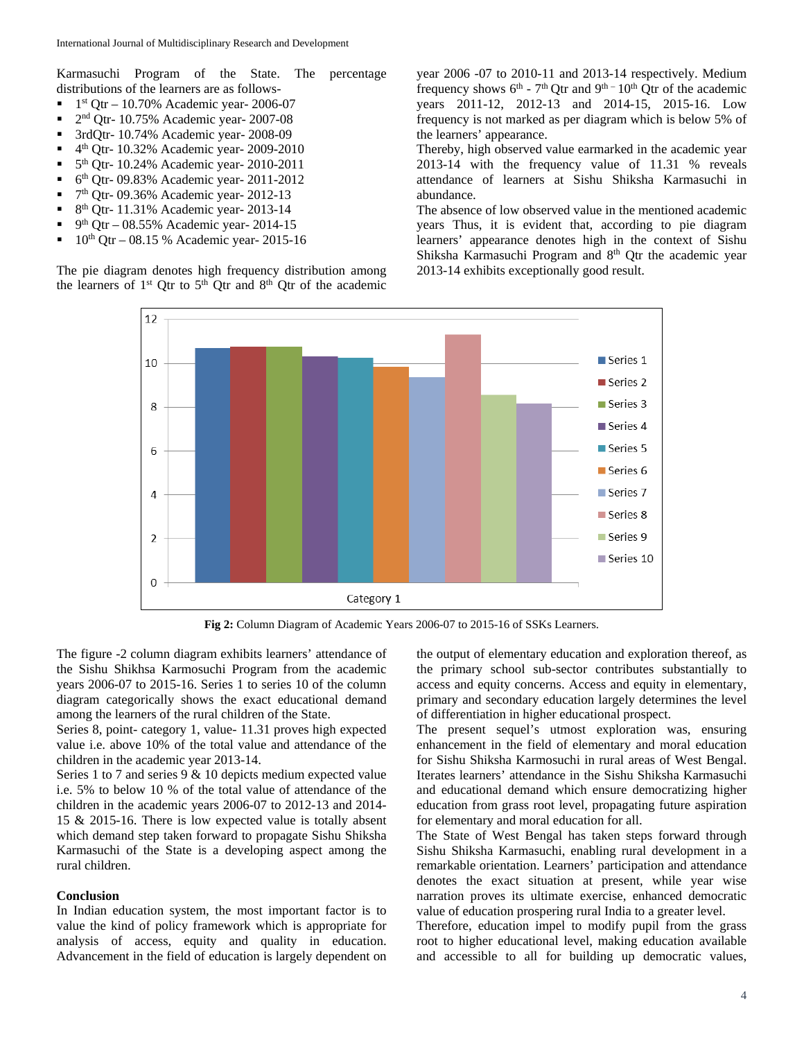Karmasuchi Program of the State. The percentage distributions of the learners are as follows-

- $1$ <sup>st</sup> Qtr 10.70% Academic year- 2006-07
- $\blacksquare$  2<sup>nd</sup> Qtr- 10.75% Academic year- 2007-08
- <sup>3rd</sup>Qtr- 10.74% Academic year- 2008-09
- $\bullet$  4<sup>th</sup> Qtr- 10.32% Academic year- 2009-2010
- $\bullet$  5<sup>th</sup> Qtr- 10.24% Academic year- 2010-2011
- $\bullet$  6<sup>th</sup> Qtr- 09.83% Academic year- 2011-2012
- 7th Qtr- 09.36% Academic year- 2012-13
- $8<sup>th</sup>$  Qtr- 11.31% Academic year- 2013-14
- $9^{th}$  Qtr 08.55% Academic year- 2014-15
- 10th Qtr 08.15 % Academic year- 2015-16

The pie diagram denotes high frequency distribution among the learners of 1<sup>st</sup> Qtr to 5<sup>th</sup> Qtr and 8<sup>th</sup> Qtr of the academic

year 2006 -07 to 2010-11 and 2013-14 respectively. Medium frequency shows  $6^{th}$  -  $7^{th}$  Qtr and  $9^{th}$  -  $10^{th}$  Qtr of the academic years 2011-12, 2012-13 and 2014-15, 2015-16. Low frequency is not marked as per diagram which is below 5% of the learners' appearance.

Thereby, high observed value earmarked in the academic year 2013-14 with the frequency value of 11.31 % reveals attendance of learners at Sishu Shiksha Karmasuchi in abundance.

The absence of low observed value in the mentioned academic years Thus, it is evident that, according to pie diagram learners' appearance denotes high in the context of Sishu Shiksha Karmasuchi Program and 8<sup>th</sup> Qtr the academic year 2013-14 exhibits exceptionally good result.



**Fig 2:** Column Diagram of Academic Years 2006-07 to 2015-16 of SSKs Learners.

The figure -2 column diagram exhibits learners' attendance of the Sishu Shikhsa Karmosuchi Program from the academic years 2006-07 to 2015-16. Series 1 to series 10 of the column diagram categorically shows the exact educational demand among the learners of the rural children of the State.

Series 8, point- category 1, value- 11.31 proves high expected value i.e. above 10% of the total value and attendance of the children in the academic year 2013-14.

Series 1 to 7 and series 9 & 10 depicts medium expected value i.e. 5% to below 10 % of the total value of attendance of the children in the academic years 2006-07 to 2012-13 and 2014- 15 & 2015-16. There is low expected value is totally absent which demand step taken forward to propagate Sishu Shiksha Karmasuchi of the State is a developing aspect among the rural children.

### **Conclusion**

In Indian education system, the most important factor is to value the kind of policy framework which is appropriate for analysis of access, equity and quality in education. Advancement in the field of education is largely dependent on

the output of elementary education and exploration thereof, as the primary school sub-sector contributes substantially to access and equity concerns. Access and equity in elementary, primary and secondary education largely determines the level of differentiation in higher educational prospect.

The present sequel's utmost exploration was, ensuring enhancement in the field of elementary and moral education for Sishu Shiksha Karmosuchi in rural areas of West Bengal. Iterates learners' attendance in the Sishu Shiksha Karmasuchi and educational demand which ensure democratizing higher education from grass root level, propagating future aspiration for elementary and moral education for all.

The State of West Bengal has taken steps forward through Sishu Shiksha Karmasuchi, enabling rural development in a remarkable orientation. Learners' participation and attendance denotes the exact situation at present, while year wise narration proves its ultimate exercise, enhanced democratic value of education prospering rural India to a greater level.

Therefore, education impel to modify pupil from the grass root to higher educational level, making education available and accessible to all for building up democratic values,